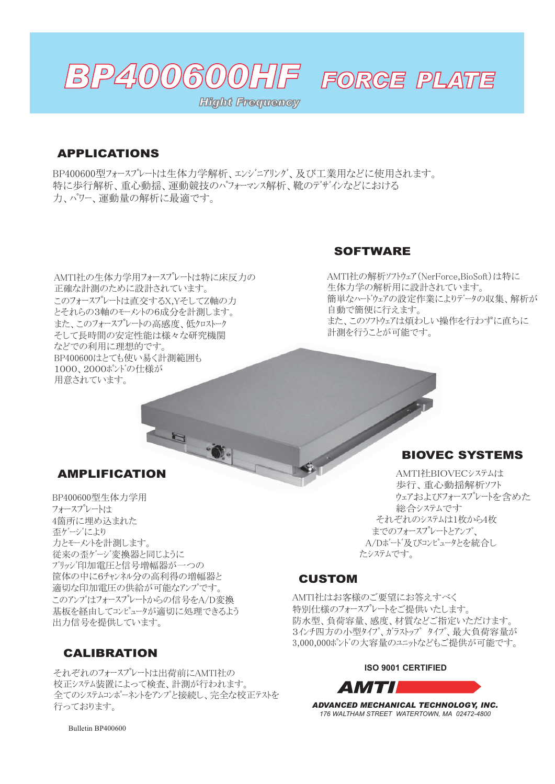

# FORGE PLATE

*Hight Frequency*

### APPLICATIONS

BP400600型フォースプレートは生体力学解析、エンジニアリング、及び工業用などに使用されます。 特に歩行解析、重心動揺、運動競技のパフォーマンス解析、靴のデザインなどにおける 力、パワー、運動量の解析に最適です。

AMTI社の生体力学用フォースプレートは特に床反力の 正確な計測のために設計されています。 このフォースプレートは直交するX.YそしてZ軸の力 とそれらの3軸のモーメントの6成分を計測します。 また、このフォースプレートの高感度、低クロストーク そして長時間の安定性能は様々な研究機関 などでの利用に理想的です。 BP400600はとても使い易く計測範囲も 1000. 2000ポンドの仕様が 用意されています。

#### **SOFTWARE**

AMTI社の解析ソフトウェア (NerForce,BioSoft)は特に 生体力学の解析用に設計されています。 簡単なハードウェアの設定作業によりデータの収集、解析が 自動で簡便に行えます。 また、このソフトウェアは煩わしい操作を行わずに直ちに 計測を行うことが可能です。

#### AMPLIFICATION

BP400600型生体力学用 フォースプレートは 4箇所に埋め込まれた 歪ゲージにより 力とモーメントを計測します。 従来の歪ゲージ変換器と同じように ブリッジ印加雷圧と信号増幅器が一つの 筐体の中に6チャンネル分の高利得の増幅器と 適切な印加電圧の供給が可能なアンプです。 このアンプはフォースプレートからの信号をA/D変換 基板を経由してコンピュータが適切に処理できるよう 出力信号を提供しています。

## CALIBRATION

それぞれのフォースプレートは出荷前にAMTI社の 校正システム装置によって検査、計測が行われます。 全てのシステムコンポーネントをアンプと接続し、完全な校正テストを 行っております。

#### BIOVEC SYSTEMS

AMTI社BIOVECシステムは 歩行、重心動揺解析ソフト ウェアおよびフォースプレートを含めた 総合システムです それぞれのシステムは1枚から4枚 までのフォースプレート*とアンプ*、 A/Dボード及びコンピュータとを統合し たシステムです。

#### CUSTOM

AMTI社はお客様のご要望にお答えすべく 特別仕様のフォースプレートネご提供いたします。 防水型、負荷容量、感度、材質などご指定いただけます。 3インチ四方の小型タイプ、ガラストップタイプ、最大負荷容量が 3,000,000ポンドの大容量のユニットなどもご提供が可能です。

#### **ISO 9001 CERTIFIED**



*ADVANCED MECHANICAL TECHNOLOGY, INC. 176 WALTHAM STREET WATERTOWN, MA 02472-4800*

Bulletin BP400600 *email: sales@amtimail.com web: www.amtiweb.com*